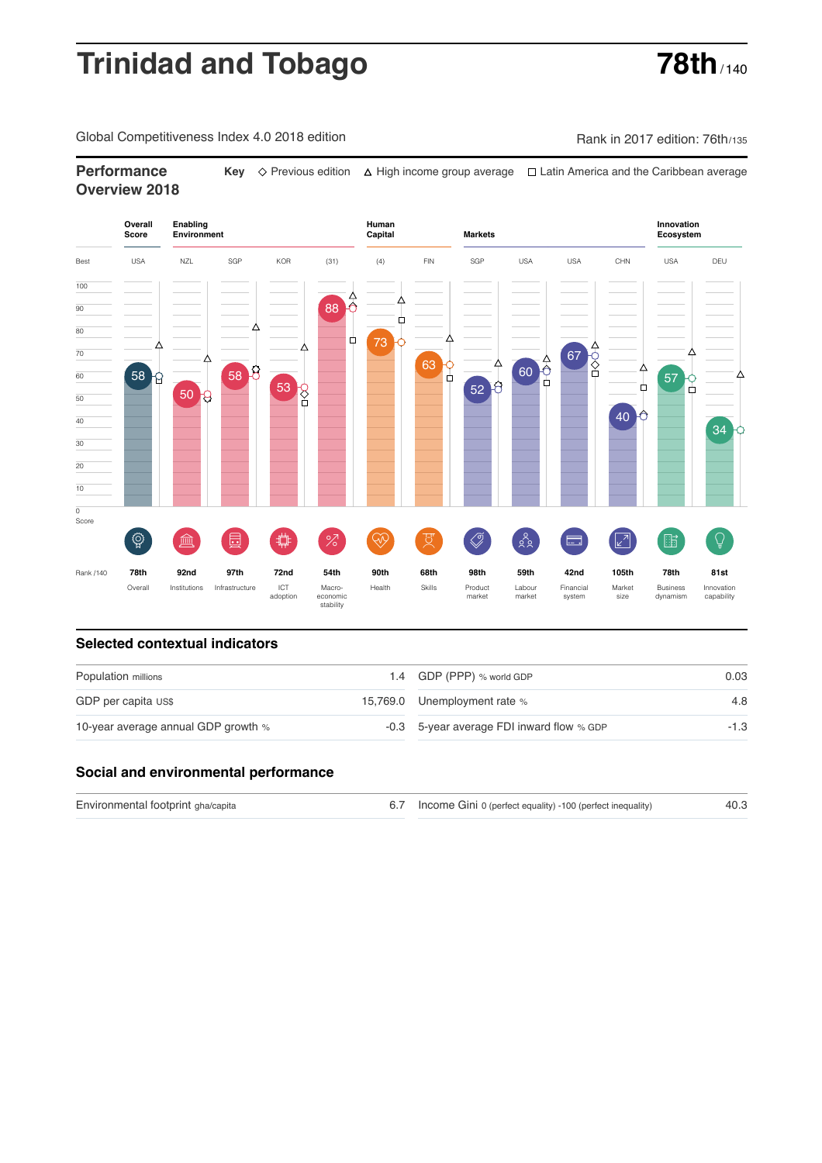# **Trinidad and Tobago <b>78th**

Global Competitiveness Index 4.0 2018 edition Company Rank in 2017 edition: 76th/135

## **Performance Key**  $\Diamond$  Previous edition △ High income group average □ Latin America and the Caribbean average **Overview 2018**



### **Selected contextual indicators**

| Population millions                 | 1.4 GDP (PPP) % world GDP                 | 0.03 |  |
|-------------------------------------|-------------------------------------------|------|--|
| GDP per capita US\$                 | 15,769.0 Unemployment rate %              | 4.8  |  |
| 10-year average annual GDP growth % | -0.3 5-year average FDI inward flow % GDP | -1.3 |  |

### **Social and environmental performance**

| Environmental footprint gha/capita | 6.7 Income Gini 0 (perfect equality) -100 (perfect inequality) | 40.3 |
|------------------------------------|----------------------------------------------------------------|------|
|                                    |                                                                |      |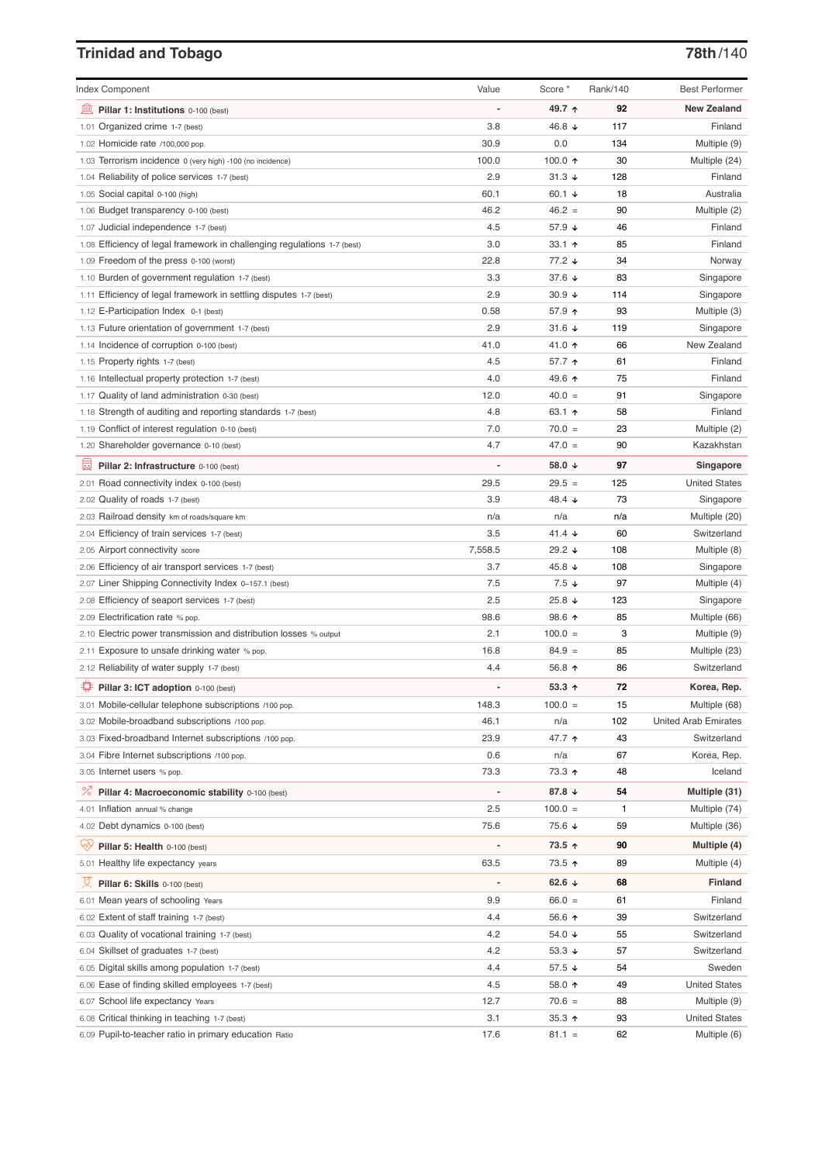# **Trinidad and Tobago 78th**/140

| <b>Index Component</b>                                                   | Value          | Score *          | Rank/140 | <b>Best Performer</b>       |
|--------------------------------------------------------------------------|----------------|------------------|----------|-----------------------------|
| 寙<br>Pillar 1: Institutions 0-100 (best)                                 |                | 49.7 ↑           | 92       | <b>New Zealand</b>          |
| 1.01 Organized crime 1-7 (best)                                          | 3.8            | 46.8 ↓           | 117      | Finland                     |
| 1.02 Homicide rate /100,000 pop.                                         | 30.9           | 0.0              | 134      | Multiple (9)                |
| 1.03 Terrorism incidence 0 (very high) -100 (no incidence)               | 100.0          | 100.0 $\uparrow$ | 30       | Multiple (24)               |
| 1.04 Reliability of police services 1-7 (best)                           | 2.9            | $31.3 +$         | 128      | Finland                     |
| 1.05 Social capital 0-100 (high)                                         | 60.1           | 60.1 $\sqrt{ }$  | 18       | Australia                   |
| 1.06 Budget transparency 0-100 (best)                                    | 46.2           | $46.2 =$         | 90       | Multiple (2)                |
| 1.07 Judicial independence 1-7 (best)                                    | 4.5            | 57.9 ↓           | 46       | Finland                     |
| 1.08 Efficiency of legal framework in challenging regulations 1-7 (best) | 3.0            | 33.1 $\uparrow$  | 85       | Finland                     |
| 1.09 Freedom of the press 0-100 (worst)                                  | 22.8           | $77.2 \div$      | 34       | Norway                      |
| 1.10 Burden of government regulation 1-7 (best)                          | 3.3            | 37.6 $\sqrt{ }$  | 83       | Singapore                   |
| 1.11 Efficiency of legal framework in settling disputes 1-7 (best)       | 2.9            | $30.9 +$         | 114      | Singapore                   |
| 1.12 E-Participation Index 0-1 (best)                                    | 0.58           | 57.9 个           | 93       | Multiple (3)                |
| 1.13 Future orientation of government 1-7 (best)                         | 2.9            | 31.6 $\sqrt{ }$  | 119      | Singapore                   |
| 1.14 Incidence of corruption 0-100 (best)                                | 41.0           | 41.0 ↑           | 66       | New Zealand                 |
| 1.15 Property rights 1-7 (best)                                          | 4.5            | 57.7 ↑           | 61       | Finland                     |
| 1.16 Intellectual property protection 1-7 (best)                         | 4.0            | 49.6 ↑           | 75       | Finland                     |
| 1.17 Quality of land administration 0-30 (best)                          | 12.0           | $40.0 =$         | 91       | Singapore                   |
| 1.18 Strength of auditing and reporting standards 1-7 (best)             | 4.8            | 63.1 $\uparrow$  | 58       | Finland                     |
| 1.19 Conflict of interest regulation 0-10 (best)                         | 7.0            | $70.0 =$         | 23       | Multiple (2)                |
| 1.20 Shareholder governance 0-10 (best)                                  | 4.7            | $47.0 =$         | 90       | Kazakhstan                  |
| 圓<br>Pillar 2: Infrastructure 0-100 (best)                               |                | 58.0 ↓           | 97       | Singapore                   |
| 2.01 Road connectivity index 0-100 (best)                                | 29.5           | $29.5 =$         | 125      | <b>United States</b>        |
| 2.02 Quality of roads 1-7 (best)                                         | 3.9            | 48.4 ↓           | 73       | Singapore                   |
| 2.03 Railroad density km of roads/square km                              | n/a            | n/a              | n/a      | Multiple (20)               |
| 2.04 Efficiency of train services 1-7 (best)                             | 3.5            | 41.4 $\sqrt{ }$  | 60       | Switzerland                 |
| 2.05 Airport connectivity score                                          | 7,558.5        | 29.2 $\sqrt{ }$  | 108      | Multiple (8)                |
| 2.06 Efficiency of air transport services 1-7 (best)                     | 3.7            | 45.8 ↓           | 108      | Singapore                   |
| 2.07 Liner Shipping Connectivity Index 0-157.1 (best)                    | 7.5            | $7.5 \downarrow$ | 97       | Multiple (4)                |
| 2.08 Efficiency of seaport services 1-7 (best)                           | 2.5            | 25.8 $\sqrt{ }$  | 123      | Singapore                   |
| 2.09 Electrification rate % pop.                                         | 98.6           | 98.6 个           | 85       | Multiple (66)               |
| 2.10 Electric power transmission and distribution losses % output        | 2.1            | $100.0 =$        | 3        | Multiple (9)                |
| 2.11 Exposure to unsafe drinking water % pop.                            | 16.8           | $84.9 =$         | 85       | Multiple (23)               |
| 2.12 Reliability of water supply 1-7 (best)                              | 4.4            | 56.8 个           | 86       | Switzerland                 |
| ₽<br>Pillar 3: ICT adoption 0-100 (best)                                 |                | $53.3 +$         | 72       | Korea, Rep.                 |
| 3.01 Mobile-cellular telephone subscriptions /100 pop.                   | 148.3          | $100.0 =$        | 15       | Multiple (68)               |
| 3.02 Mobile-broadband subscriptions /100 pop.                            | 46.1           | n/a              | 102      | <b>United Arab Emirates</b> |
| 3.03 Fixed-broadband Internet subscriptions /100 pop.                    | 23.9           | 47.7 ተ           | 43       | Switzerland                 |
| 3.04 Fibre Internet subscriptions /100 pop.                              | 0.6            | n/a              | 67       | Korea, Rep.                 |
| 3.05 Internet users % pop.                                               | 73.3           | 73.3 ↑           | 48       | Iceland                     |
| <sup>%</sup> Pillar 4: Macroeconomic stability 0-100 (best)              | $\overline{a}$ | 87.8 ↓           | 54       | Multiple (31)               |
| 4.01 Inflation annual % change                                           | 2.5            | $100.0 =$        | 1        | Multiple (74)               |
| 4.02 Debt dynamics 0-100 (best)                                          | 75.6           | 75.6 ↓           | 59       | Multiple (36)               |
| ųÿ<br>Pillar 5: Health 0-100 (best)                                      |                | 73.5 ↑           | 90       | Multiple (4)                |
| 5.01 Healthy life expectancy years                                       | 63.5           | 73.5 个           | 89       | Multiple (4)                |
| 文<br>Pillar 6: Skills 0-100 (best)                                       | $\overline{a}$ | 62.6 $\sqrt{ }$  | 68       | Finland                     |
| 6.01 Mean years of schooling Years                                       | 9.9            | $66.0 =$         | 61       | Finland                     |
| 6.02 Extent of staff training 1-7 (best)                                 | 4.4            | 56.6 个           | 39       | Switzerland                 |
| 6.03 Quality of vocational training 1-7 (best)                           | 4.2            | 54.0 ↓           | 55       | Switzerland                 |
| 6.04 Skillset of graduates 1-7 (best)                                    | 4.2            | 53.3 $\sqrt{ }$  | 57       | Switzerland                 |
| 6.05 Digital skills among population 1-7 (best)                          | 4.4            | 57.5 ↓           | 54       | Sweden                      |
| 6.06 Ease of finding skilled employees 1-7 (best)                        | 4.5            | 58.0 ↑           | 49       | <b>United States</b>        |
| 6.07 School life expectancy Years                                        | 12.7           | $70.6 =$         | 88       | Multiple (9)                |
| 6.08 Critical thinking in teaching 1-7 (best)                            | 3.1            | 35.3 $\uparrow$  | 93       | <b>United States</b>        |
| 6.09 Pupil-to-teacher ratio in primary education Ratio                   | 17.6           | $81.1 =$         | 62       | Multiple (6)                |